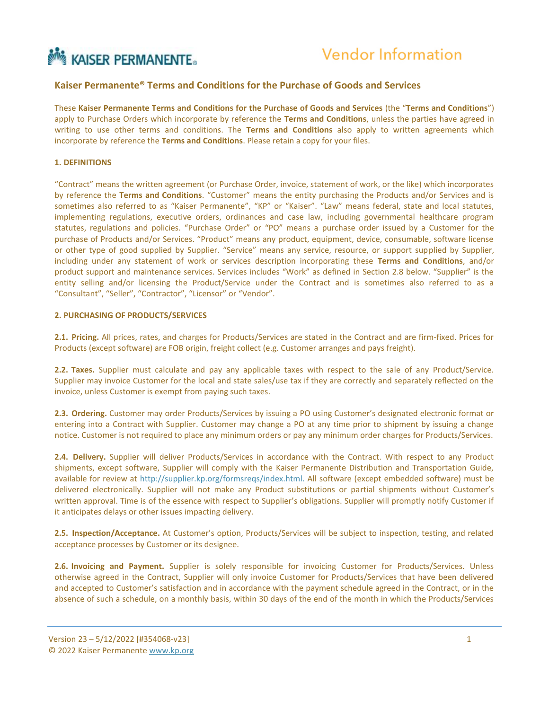# **MAISERPERMANENTE**

# **Kaiser Permanente® Terms and Conditions for the Purchase of Goods and Services**

These **Kaiser Permanente Terms and Conditions for the Purchase of Goods and Services** (the "**Terms and Conditions**") apply to Purchase Orders which incorporate by reference the **Terms and Conditions**, unless the parties have agreed in writing to use other terms and conditions. The **Terms and Conditions** also apply to written agreements which incorporate by reference the **Terms and Conditions**. Please retain a copy for your files.

#### **1. DEFINITIONS**

"Contract" means the written agreement (or Purchase Order, invoice, statement of work, or the like) which incorporates by reference the **Terms and Conditions**. "Customer" means the entity purchasing the Products and/or Services and is sometimes also referred to as "Kaiser Permanente", "KP" or "Kaiser". "Law" means federal, state and local statutes, implementing regulations, executive orders, ordinances and case law, including governmental healthcare program statutes, regulations and policies. "Purchase Order" or "PO" means a purchase order issued by a Customer for the purchase of Products and/or Services. "Product" means any product, equipment, device, consumable, software license or other type of good supplied by Supplier. "Service" means any service, resource, or support supplied by Supplier, including under any statement of work or services description incorporating these **Terms and Conditions**, and/or product support and maintenance services. Services includes "Work" as defined in Section 2.8 below. "Supplier" is the entity selling and/or licensing the Product/Service under the Contract and is sometimes also referred to as a "Consultant", "Seller", "Contractor", "Licensor" or "Vendor".

#### **2. PURCHASING OF PRODUCTS/SERVICES**

**2.1. Pricing.** All prices, rates, and charges for Products/Services are stated in the Contract and are firm‐fixed. Prices for Products (except software) are FOB origin, freight collect (e.g. Customer arranges and pays freight).

**2.2. Taxes.** Supplier must calculate and pay any applicable taxes with respect to the sale of any Product/Service. Supplier may invoice Customer for the local and state sales/use tax if they are correctly and separately reflected on the invoice, unless Customer is exempt from paying such taxes.

**2.3. Ordering.** Customer may order Products/Services by issuing a PO using Customer's designated electronic format or entering into a Contract with Supplier. Customer may change a PO at any time prior to shipment by issuing a change notice. Customer is not required to place any minimum orders or pay any minimum order charges for Products/Services.

**2.4. Delivery.** Supplier will deliver Products/Services in accordance with the Contract. With respect to any Product shipments, except software, Supplier will comply with the Kaiser Permanente Distribution and Transportation Guide, available for review at<http://supplier.kp.org/formsreqs/index.html.> All software (except embedded software) must be delivered electronically. Supplier will not make any Product substitutions or partial shipments without Customer's written approval. Time is of the essence with respect to Supplier's obligations. Supplier will promptly notify Customer if it anticipates delays or other issues impacting delivery.

**2.5. Inspection/Acceptance.** At Customer's option, Products/Services will be subject to inspection, testing, and related acceptance processes by Customer or its designee.

**2.6. Invoicing and Payment.** Supplier is solely responsible for invoicing Customer for Products/Services. Unless otherwise agreed in the Contract, Supplier will only invoice Customer for Products/Services that have been delivered and accepted to Customer's satisfaction and in accordance with the payment schedule agreed in the Contract, or in the absence of such a schedule, on a monthly basis, within 30 days of the end of the month in which the Products/Services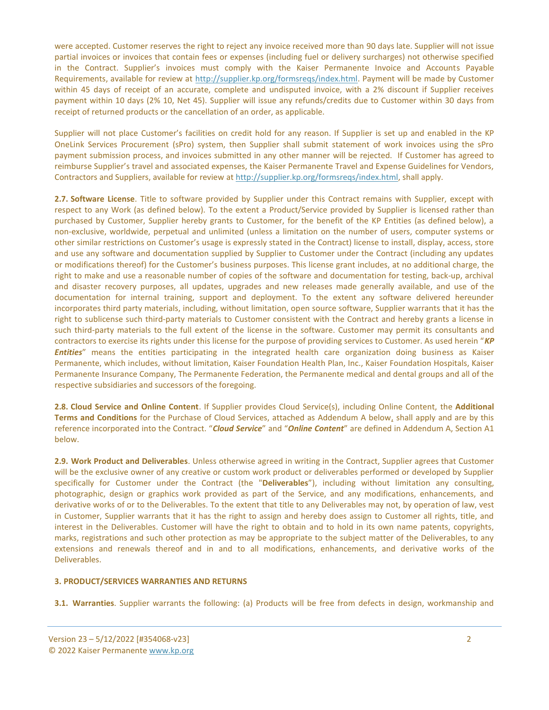were accepted. Customer reserves the right to reject any invoice received more than 90 days late. Supplier will not issue partial invoices or invoices that contain fees or expenses (including fuel or delivery surcharges) not otherwise specified in the Contract. Supplier's invoices must comply with the Kaiser Permanente Invoice and Accounts Payable Requirements, available for review at [http://supplier.kp.org/formsreqs/index.html.](http://supplier.kp.org/formsreqs/index.html) Payment will be made by Customer within 45 days of receipt of an accurate, complete and undisputed invoice, with a 2% discount if Supplier receives payment within 10 days (2% 10, Net 45). Supplier will issue any refunds/credits due to Customer within 30 days from receipt of returned products or the cancellation of an order, as applicable.

Supplier will not place Customer's facilities on credit hold for any reason. If Supplier is set up and enabled in the KP OneLink Services Procurement (sPro) system, then Supplier shall submit statement of work invoices using the sPro payment submission process, and invoices submitted in any other manner will be rejected. If Customer has agreed to reimburse Supplier's travel and associated expenses, the Kaiser Permanente Travel and Expense Guidelines for Vendors, Contractors and Suppliers, available for review at [http://supplier.kp.org/formsreqs/index.html,](http://supplier.kp.org/formsreqs/index.html) shall apply.

**2.7. Software License**. Title to software provided by Supplier under this Contract remains with Supplier, except with respect to any Work (as defined below). To the extent a Product/Service provided by Supplier is licensed rather than purchased by Customer, Supplier hereby grants to Customer, for the benefit of the KP Entities (as defined below), a non‐exclusive, worldwide, perpetual and unlimited (unless a limitation on the number of users, computer systems or other similar restrictions on Customer's usage is expressly stated in the Contract) license to install, display, access, store and use any software and documentation supplied by Supplier to Customer under the Contract (including any updates or modifications thereof) for the Customer's business purposes. This license grant includes, at no additional charge, the right to make and use a reasonable number of copies of the software and documentation for testing, back‐up, archival and disaster recovery purposes, all updates, upgrades and new releases made generally available, and use of the documentation for internal training, support and deployment. To the extent any software delivered hereunder incorporates third party materials, including, without limitation, open source software, Supplier warrants that it has the right to sublicense such third‐party materials to Customer consistent with the Contract and hereby grants a license in such third-party materials to the full extent of the license in the software. Customer may permit its consultants and contractors to exercise its rights under this license for the purpose of providing services to Customer. As used herein "*KP Entities*" means the entities participating in the integrated health care organization doing business as Kaiser Permanente, which includes, without limitation, Kaiser Foundation Health Plan, Inc., Kaiser Foundation Hospitals, Kaiser Permanente Insurance Company, The Permanente Federation, the Permanente medical and dental groups and all of the respective subsidiaries and successors of the foregoing.

**2.8. Cloud Service and Online Content**. If Supplier provides Cloud Service(s), including Online Content, the **Additional Terms and Conditions** for the Purchase of Cloud Services, attached as Addendum A belo[w,](http://supplier.kp.org/formsreqs/index.html) shall apply and are by this reference incorporated into the Contract. "*Cloud Service*" and "*Online Content*" are defined in Addendum A, Section A1 below.

**2.9. Work Product and Deliverables**. Unless otherwise agreed in writing in the Contract, Supplier agrees that Customer will be the exclusive owner of any creative or custom work product or deliverables performed or developed by Supplier specifically for Customer under the Contract (the "**Deliverables**"), including without limitation any consulting, photographic, design or graphics work provided as part of the Service, and any modifications, enhancements, and derivative works of or to the Deliverables. To the extent that title to any Deliverables may not, by operation of law, vest in Customer, Supplier warrants that it has the right to assign and hereby does assign to Customer all rights, title, and interest in the Deliverables. Customer will have the right to obtain and to hold in its own name patents, copyrights, marks, registrations and such other protection as may be appropriate to the subject matter of the Deliverables, to any extensions and renewals thereof and in and to all modifications, enhancements, and derivative works of the Deliverables.

#### **3. PRODUCT/SERVICES WARRANTIES AND RETURNS**

**3.1. Warranties**. Supplier warrants the following: (a) Products will be free from defects in design, workmanship and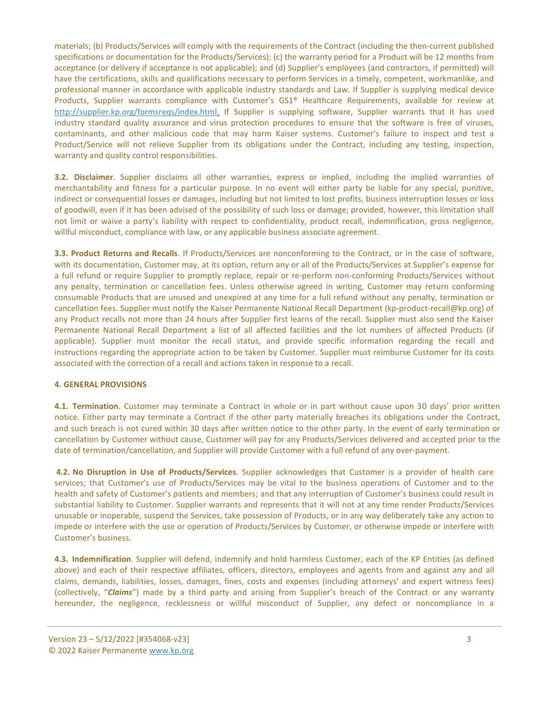materials; (b) Products/Services will comply with the requirements of the Contract (including the then‐current published specifications or documentation for the Products/Services); (c) the warranty period for a Product will be 12 months from acceptance (or delivery if acceptance is not applicable); and (d) Supplier's employees (and contractors, if permitted) will have the certifications, skills and qualifications necessary to perform Services in a timely, competent, workmanlike, and professional manner in accordance with applicable industry standards and Law. If Supplier is supplying medical device Products, Supplier warrants compliance with Customer's GS1® Healthcare Requirements, available for review at [http://supplier.kp.org/formsreqs/index.html.](http://supplier.kp.org/formsreqs/index.html) If Supplier is supplying software, Supplier warrants that it has used industry standard quality assurance and virus protection procedures to ensure that the software is free of viruses, contaminants, and other malicious code that may harm Kaiser systems. Customer's failure to inspect and test a Product/Service will not relieve Supplier from its obligations under the Contract, including any testing, inspection, warranty and quality control responsibilities.

**3.2. Disclaimer**. Supplier disclaims all other warranties, express or implied, including the implied warranties of merchantability and fitness for a particular purpose. In no event will either party be liable for any special, punitive, indirect or consequential losses or damages, including but not limited to lost profits, business interruption losses or loss of goodwill, even if it has been advised of the possibility of such loss or damage; provided, however, this limitation shall not limit or waive a party's liability with respect to confidentiality, product recall, indemnification, gross negligence, willful misconduct, compliance with law, or any applicable business associate agreement.

**3.3. Product Returns and Recalls**. If Products/Services are nonconforming to the Contract, or in the case of software, with its documentation, Customer may, at its option, return any or all of the Products/Services at Supplier's expense for a full refund or require Supplier to promptly replace, repair or re-perform non-conforming Products/Services without any penalty, termination or cancellation fees. Unless otherwise agreed in writing, Customer may return conforming consumable Products that are unused and unexpired at any time for a full refund without any penalty, termination or cancellation fees. Supplier must notify the Kaiser Permanente National Recall Department (kp-product-recall@kp.org) of any Product recalls not more than 24 hours after Supplier first learns of the recall. Supplier must also send the Kaiser Permanente National Recall Department a list of all affected facilities and the lot numbers of affected Products (if applicable). Supplier must monitor the recall status, and provide specific information regarding the recall and instructions regarding the appropriate action to be taken by Customer. Supplier must reimburse Customer for its costs associated with the correction of a recall and actions taken in response to a recall.

#### **4. GENERAL PROVISIONS**

**4.1. Termination**. Customer may terminate a Contract in whole or in part without cause upon 30 days' prior written notice. Either party may terminate a Contract if the other party materially breaches its obligations under the Contract, and such breach is not cured within 30 days after written notice to the other party. In the event of early termination or cancellation by Customer without cause, Customer will pay for any Products/Services delivered and accepted prior to the date of termination/cancellation, and Supplier will provide Customer with a full refund of any over‐payment.

**4.2. No Disruption in Use of Products/Services**. Supplier acknowledges that Customer is a provider of health care services; that Customer's use of Products/Services may be vital to the business operations of Customer and to the health and safety of Customer's patients and members; and that any interruption of Customer's business could result in substantial liability to Customer. Supplier warrants and represents that it will not at any time render Products/Services unusable or inoperable, suspend the Services, take possession of Products, or in any way deliberately take any action to impede or interfere with the use or operation of Products/Services by Customer, or otherwise impede or interfere with Customer's business.

**4.3. Indemnification**. Supplier will defend, indemnify and hold harmless Customer, each of the KP Entities (as defined above) and each of their respective affiliates, officers, directors, employees and agents from and against any and all claims, demands, liabilities, losses, damages, fines, costs and expenses (including attorneys' and expert witness fees) (collectively, "*Claims*") made by a third party and arising from Supplier's breach of the Contract or any warranty hereunder, the negligence, recklessness or willful misconduct of Supplier, any defect or noncompliance in a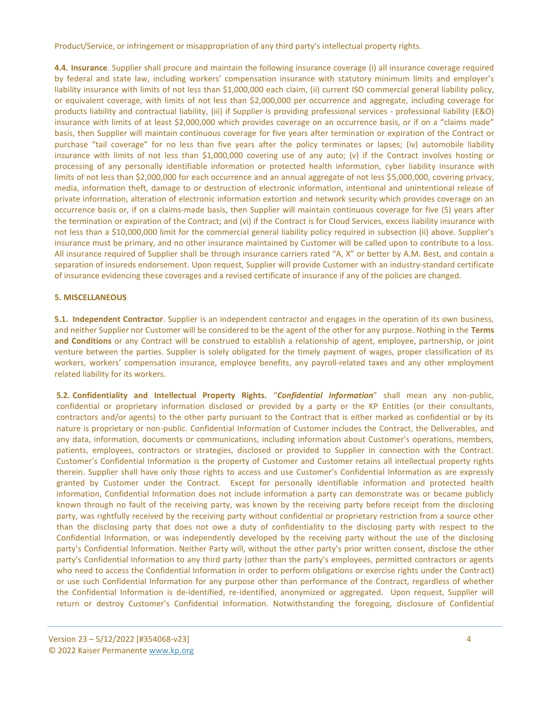Product/Service, or infringement or misappropriation of any third party's intellectual property rights.

**4.4. Insurance**. Supplier shall procure and maintain the following insurance coverage (i) all insurance coverage required by federal and state law, including workers' compensation insurance with statutory minimum limits and employer's liability insurance with limits of not less than \$1,000,000 each claim, (ii) current ISO commercial general liability policy, or equivalent coverage, with limits of not less than \$2,000,000 per occurrence and aggregate, including coverage for products liability and contractual liability, (iii) if Supplier is providing professional services ‐ professional liability (E&O) insurance with limits of at least \$2,000,000 which provides coverage on an occurrence basis, or if on a "claims made" basis, then Supplier will maintain continuous coverage for five years after termination or expiration of the Contract or purchase "tail coverage" for no less than five years after the policy terminates or lapses; (iv) automobile liability insurance with limits of not less than \$1,000,000 covering use of any auto; (v) if the Contract involves hosting or processing of any personally identifiable information or protected health information, cyber liability insurance with limits of not less than \$2,000,000 for each occurrence and an annual aggregate of not less \$5,000,000, covering privacy, media, information theft, damage to or destruction of electronic information, intentional and unintentional release of private information, alteration of electronic information extortion and network security which provides coverage on an occurrence basis or, if on a claims-made basis, then Supplier will maintain continuous coverage for five (5) years after the termination or expiration of the Contract; and (vi) if the Contract is for Cloud Services, excess liability insurance with not less than a \$10,000,000 limit for the commercial general liability policy required in subsection (ii) above. Supplier's insurance must be primary, and no other insurance maintained by Customer will be called upon to contribute to a loss. All insurance required of Supplier shall be through insurance carriers rated "A, X" or better by A.M. Best, and contain a separation of insureds endorsement. Upon request, Supplier will provide Customer with an industry-standard certificate of insurance evidencing these coverages and a revised certificate of insurance if any of the policies are changed.

# **5. MISCELLANEOUS**

**5.1. Independent Contractor**. Supplier is an independent contractor and engages in the operation of its own business, and neither Supplier nor Customer will be considered to be the agent of the other for any purpose. Nothing in the **Terms and Conditions** or any Contract will be construed to establish a relationship of agent, employee, partnership, or joint venture between the parties. Supplier is solely obligated for the timely payment of wages, proper classification of its workers, workers' compensation insurance, employee benefits, any payroll-related taxes and any other employment related liability for its workers.

**5.2. Confidentiality and Intellectual Property Rights.** "*Confidential Information*" shall mean any non-public, confidential or proprietary information disclosed or provided by a party or the KP Entities (or their consultants, contractors and/or agents) to the other party pursuant to the Contract that is either marked as confidential or by its nature is proprietary or non-public. Confidential Information of Customer includes the Contract, the Deliverables, and any data, information, documents or communications, including information about Customer's operations, members, patients, employees, contractors or strategies, disclosed or provided to Supplier in connection with the Contract. Customer's Confidential Information is the property of Customer and Customer retains all intellectual property rights therein. Supplier shall have only those rights to access and use Customer's Confidential Information as are expressly granted by Customer under the Contract. Except for personally identifiable information and protected health information, Confidential Information does not include information a party can demonstrate was or became publicly known through no fault of the receiving party, was known by the receiving party before receipt from the disclosing party, was rightfully received by the receiving party without confidential or proprietary restriction from a source other than the disclosing party that does not owe a duty of confidentiality to the disclosing party with respect to the Confidential Information, or was independently developed by the receiving party without the use of the disclosing party's Confidential Information. Neither Party will, without the other party's prior written consent, disclose the other party's Confidential Information to any third party (other than the party's employees, permitted contractors or agents who need to access the Confidential Information in order to perform obligations or exercise rights under the Contract) or use such Confidential Information for any purpose other than performance of the Contract, regardless of whether the Confidential Information is de‐identified, re-identified, anonymized or aggregated. Upon request, Supplier will return or destroy Customer's Confidential Information. Notwithstanding the foregoing, disclosure of Confidential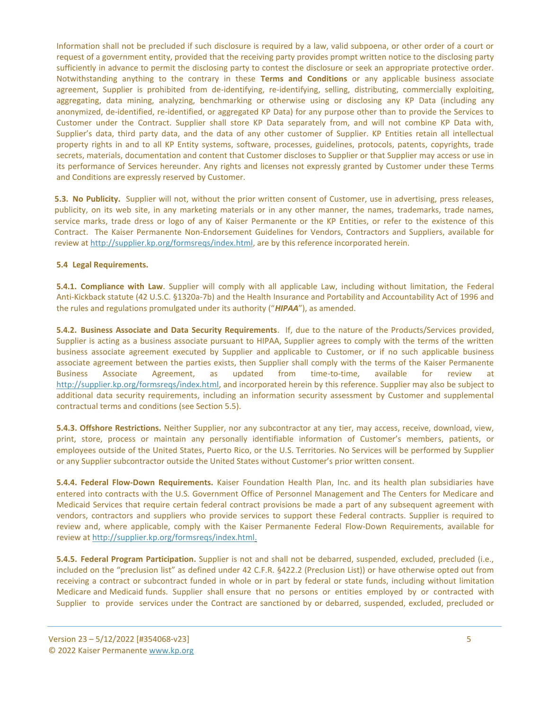Information shall not be precluded if such disclosure is required by a law, valid subpoena, or other order of a court or request of a government entity, provided that the receiving party provides prompt written notice to the disclosing party sufficiently in advance to permit the disclosing party to contest the disclosure or seek an appropriate protective order. Notwithstanding anything to the contrary in these **Terms and Conditions** or any applicable business associate agreement, Supplier is prohibited from de-identifying, re-identifying, selling, distributing, commercially exploiting, aggregating, data mining, analyzing, benchmarking or otherwise using or disclosing any KP Data (including any anonymized, de-identified, re-identified, or aggregated KP Data) for any purpose other than to provide the Services to Customer under the Contract. Supplier shall store KP Data separately from, and will not combine KP Data with, Supplier's data, third party data, and the data of any other customer of Supplier. KP Entities retain all intellectual property rights in and to all KP Entity systems, software, processes, guidelines, protocols, patents, copyrights, trade secrets, materials, documentation and content that Customer discloses to Supplier or that Supplier may access or use in its performance of Services hereunder. Any rights and licenses not expressly granted by Customer under these Terms and Conditions are expressly reserved by Customer.

**5.3. No Publicity.** Supplier will not, without the prior written consent of Customer, use in advertising, press releases, publicity, on its web site, in any marketing materials or in any other manner, the names, trademarks, trade names, service marks, trade dress or logo of any of Kaiser Permanente or the KP Entities, or refer to the existence of this Contract. The Kaiser Permanente Non-Endorsement Guidelines for Vendors, Contractors and Suppliers, available for review at http://supplier.kp.org/formsreqs/index.html, are by this reference incorporated herein.

#### **5.4 Legal Requirements.**

**5.4.1. Compliance with Law**. Supplier will comply with all applicable Law, including without limitation, the Federal Anti‐Kickback statute (42 U.S.C. §1320a‐7b) and the Health Insurance and Portability and Accountability Act of 1996 and the rules and regulations promulgated under its authority ("*HIPAA*"), as amended.

**5.4.2. Business Associate and Data Security Requirements**. If, due to the nature of the Products/Services provided, Supplier is acting as a business associate pursuant to HIPAA, Supplier agrees to comply with the terms of the written business associate agreement executed by Supplier and applicable to Customer, or if no such applicable business associate agreement between the parties exists, then Supplier shall comply with the terms of the Kaiser Permanente Business Associate Agreement, as updated from time-to-time, available for review http://supplier.kp.org/formsreqs/index.html, and incorporated herein by this reference. Supplier may also be subject to additional data security requirements, including an information security assessment by Customer and supplemental contractual terms and conditions (see Section 5.5).

**5.4.3. Offshore Restrictions.** Neither Supplier, nor any subcontractor at any tier, may access, receive, download, view, print, store, process or maintain any personally identifiable information of Customer's members, patients, or employees outside of the United States, Puerto Rico, or the U.S. Territories. No Services will be performed by Supplier or any Supplier subcontractor outside the United States without Customer's prior written consent.

**5.4.4. Federal Flow-Down Requirements.** Kaiser Foundation Health Plan, Inc. and its health plan subsidiaries have entered into contracts with the U.S. Government Office of Personnel Management and The Centers for Medicare and Medicaid Services that require certain federal contract provisions be made a part of any subsequent agreement with vendors, contractors and suppliers who provide services to support these Federal contracts. Supplier is required to review and, where applicable, comply with the Kaiser Permanente Federal Flow-Down Requirements, available for review at [http://supplier.kp.org/formsreqs/index.html.](http://supplier.kp.org/formsreqs/index.html)

**5.4.5. Federal Program Participation.** Supplier is not and shall not be debarred, suspended, excluded, precluded (i.e., included on the "preclusion list" as defined under 42 C.F.R. §422.2 (Preclusion List)) or have otherwise opted out from receiving a contract or subcontract funded in whole or in part by federal or state funds, including without limitation Medicare and Medicaid funds. Supplier shall ensure that no persons or entities employed by or contracted with Supplier to provide services under the Contract are sanctioned by or debarred, suspended, excluded, precluded or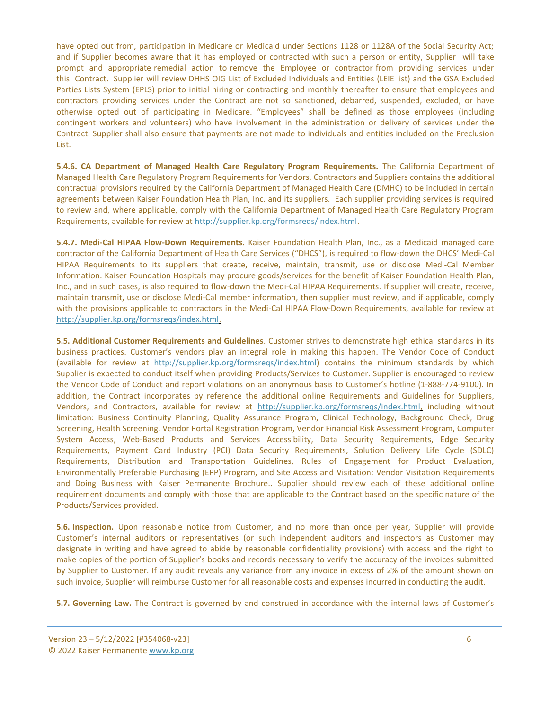have opted out from, participation in Medicare or Medicaid under Sections 1128 or 1128A of the Social Security Act; and if Supplier becomes aware that it has employed or contracted with such a person or entity, Supplier will take prompt and appropriate remedial action to remove the Employee or contractor from providing services under this Contract. Supplier will review DHHS OIG List of Excluded Individuals and Entities (LEIE list) and the GSA Excluded Parties Lists System (EPLS) prior to initial hiring or contracting and monthly thereafter to ensure that employees and contractors providing services under the Contract are not so sanctioned, debarred, suspended, excluded, or have otherwise opted out of participating in Medicare. "Employees" shall be defined as those employees (including contingent workers and volunteers) who have involvement in the administration or delivery of services under the Contract. Supplier shall also ensure that payments are not made to individuals and entities included on the Preclusion List.

**5.4.6. CA Department of Managed Health Care Regulatory Program Requirements.** The California Department of Managed Health Care Regulatory Program Requirements for Vendors, Contractors and Suppliers contains the additional contractual provisions required by the California Department of Managed Health Care (DMHC) to be included in certain agreements between Kaiser Foundation Health Plan, Inc. and its suppliers. Each supplier providing services is required to review and, where applicable, comply with the California Department of Managed Health Care Regulatory Program Requirements, available for review at [http://supplier.kp.org/formsreqs/index.html.](http://supplier.kp.org/formsreqs/index.html)

**5.4.7. Medi-Cal HIPAA Flow-Down Requirements.** Kaiser Foundation Health Plan, Inc., as a Medicaid managed care contractor of the California Department of Health Care Services ("DHCS"), is required to flow-down the DHCS' Medi-Cal HIPAA Requirements to its suppliers that create, receive, maintain, transmit, use or disclose Medi-Cal Member Information. Kaiser Foundation Hospitals may procure goods/services for the benefit of Kaiser Foundation Health Plan, Inc., and in such cases, is also required to flow-down the Medi-Cal HIPAA Requirements. If supplier will create, receive, maintain transmit, use or disclose Medi-Cal member information, then supplier must review, and if applicable, comply with the provisions applicable to contractors in the Medi-Cal HIPAA Flow-Down Requirements, available for review at [http://supplier.kp.org/formsreqs/index.html.](http://supplier.kp.org/formsreqs/index.html)

**5.5. Additional Customer Requirements and Guidelines**. Customer strives to demonstrate high ethical standards in its business practices. Customer's vendors play an integral role in making this happen. The Vendor Code of Conduct (available for review at [http://supplier.kp.org/formsreqs/index.html\)](http://supplier.kp.org/formsreqs/index.html) contains the minimum standards by which Supplier is expected to conduct itself when providing Products/Services to Customer. Supplier is encouraged to review the Vendor Code of Conduct and report violations on an anonymous basis to Customer's hotline (1‐888‐774‐9100). In addition, the Contract incorporates by reference the additional online Requirements and Guidelines for Suppliers, Vendors, and Contractors, available for review at [http://supplier.kp.org/formsreqs/index.html,](http://supplier.kp.org/formsreqs/index.html) including without limitation: Business Continuity Planning, Quality Assurance Program, Clinical Technology, Background Check, Drug Screening, Health Screening. Vendor Portal Registration Program, Vendor Financial Risk Assessment Program, Computer System Access, Web-Based Products and Services Accessibility, Data Security Requirements, Edge Security Requirements, Payment Card Industry (PCI) Data Security Requirements, Solution Delivery Life Cycle (SDLC) Requirements, Distribution and Transportation Guidelines, Rules of Engagement for Product Evaluation, Environmentally Preferable Purchasing (EPP) Program, and Site Access and Visitation: Vendor Visitation Requirements and Doing Business with Kaiser Permanente Brochure.. Supplier should review each of these additional online requirement documents and comply with those that are applicable to the Contract based on the specific nature of the Products/Services provided.

**5.6. Inspection.** Upon reasonable notice from Customer, and no more than once per year, Supplier will provide Customer's internal auditors or representatives (or such independent auditors and inspectors as Customer may designate in writing and have agreed to abide by reasonable confidentiality provisions) with access and the right to make copies of the portion of Supplier's books and records necessary to verify the accuracy of the invoices submitted by Supplier to Customer. If any audit reveals any variance from any invoice in excess of 2% of the amount shown on such invoice, Supplier will reimburse Customer for all reasonable costs and expenses incurred in conducting the audit.

**5.7. Governing Law.** The Contract is governed by and construed in accordance with the internal laws of Customer's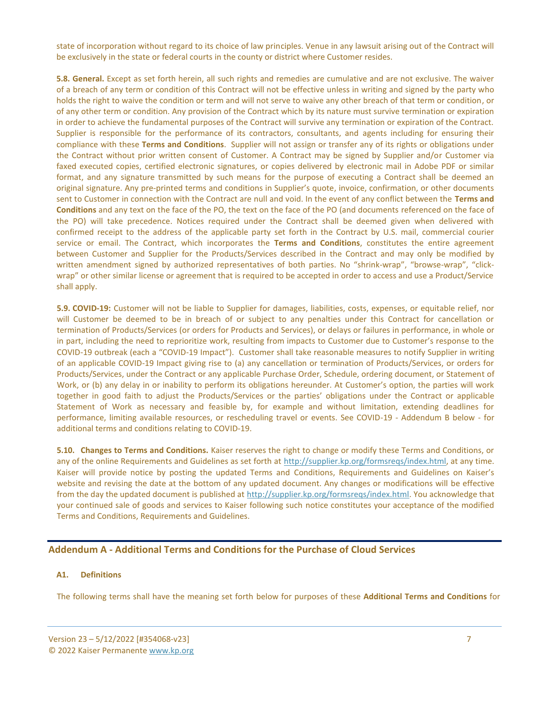state of incorporation without regard to its choice of law principles. Venue in any lawsuit arising out of the Contract will be exclusively in the state or federal courts in the county or district where Customer resides.

**5.8. General.** Except as set forth herein, all such rights and remedies are cumulative and are not exclusive. The waiver of a breach of any term or condition of this Contract will not be effective unless in writing and signed by the party who holds the right to waive the condition or term and will not serve to waive any other breach of that term or condition, or of any other term or condition. Any provision of the Contract which by its nature must survive termination or expiration in order to achieve the fundamental purposes of the Contract will survive any termination or expiration of the Contract. Supplier is responsible for the performance of its contractors, consultants, and agents including for ensuring their compliance with these **Terms and Conditions**. Supplier will not assign or transfer any of its rights or obligations under the Contract without prior written consent of Customer. A Contract may be signed by Supplier and/or Customer via faxed executed copies, certified electronic signatures, or copies delivered by electronic mail in Adobe PDF or similar format, and any signature transmitted by such means for the purpose of executing a Contract shall be deemed an original signature. Any pre‐printed terms and conditions in Supplier's quote, invoice, confirmation, or other documents sent to Customer in connection with the Contract are null and void. In the event of any conflict between the **Terms and Conditions** and any text on the face of the PO, the text on the face of the PO (and documents referenced on the face of the PO) will take precedence. Notices required under the Contract shall be deemed given when delivered with confirmed receipt to the address of the applicable party set forth in the Contract by U.S. mail, commercial courier service or email. The Contract, which incorporates the **Terms and Conditions**, constitutes the entire agreement between Customer and Supplier for the Products/Services described in the Contract and may only be modified by written amendment signed by authorized representatives of both parties. No "shrink-wrap", "browse-wrap", "clickwrap" or other similar license or agreement that is required to be accepted in order to access and use a Product/Service shall apply.

**5.9. COVID-19:** Customer will not be liable to Supplier for damages, liabilities, costs, expenses, or equitable relief, nor will Customer be deemed to be in breach of or subject to any penalties under this Contract for cancellation or termination of Products/Services (or orders for Products and Services), or delays or failures in performance, in whole or in part, including the need to reprioritize work, resulting from impacts to Customer due to Customer's response to the COVID-19 outbreak (each a "COVID-19 Impact"). Customer shall take reasonable measures to notify Supplier in writing of an applicable COVID-19 Impact giving rise to (a) any cancellation or termination of Products/Services, or orders for Products/Services, under the Contract or any applicable Purchase Order, Schedule, ordering document, or Statement of Work, or (b) any delay in or inability to perform its obligations hereunder. At Customer's option, the parties will work together in good faith to adjust the Products/Services or the parties' obligations under the Contract or applicable Statement of Work as necessary and feasible by, for example and without limitation, extending deadlines for performance, limiting available resources, or rescheduling travel or events. See COVID-19 - Addendum B below - for additional terms and conditions relating to COVID-19.

**5.10. Changes to Terms and Conditions.** Kaiser reserves the right to change or modify these Terms and Conditions, or any of the online Requirements and Guidelines as set forth at [http://supplier.kp.org/formsreqs/index.html,](http://supplier.kp.org/formsreqs/index.html) at any time. Kaiser will provide notice by posting the updated Terms and Conditions, Requirements and Guidelines on Kaiser's website and revising the date at the bottom of any updated document. Any changes or modifications will be effective from the day the updated document is published at [http://supplier.kp.org/formsreqs/index.html.](http://supplier.kp.org/formsreqs/index.html) You acknowledge that your continued sale of goods and services to Kaiser following such notice constitutes your acceptance of the modified Terms and Conditions, Requirements and Guidelines.

# **Addendum A - Additional Terms and Conditions for the Purchase of Cloud Services**

#### **A1. Definitions**

The following terms shall have the meaning set forth below for purposes of these **Additional Terms and Conditions** for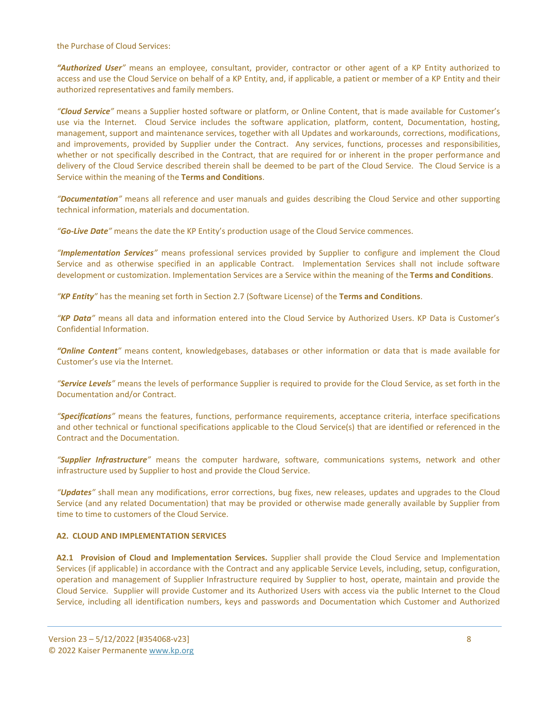the Purchase of Cloud Services:

*"Authorized User"* means an employee, consultant, provider, contractor or other agent of a KP Entity authorized to access and use the Cloud Service on behalf of a KP Entity, and, if applicable, a patient or member of a KP Entity and their authorized representatives and family members.

*"Cloud Service"* means a Supplier hosted software or platform, or Online Content, that is made available for Customer's use via the Internet. Cloud Service includes the software application, platform, content, Documentation, hosting, management, support and maintenance services, together with all Updates and workarounds, corrections, modifications, and improvements, provided by Supplier under the Contract. Any services, functions, processes and responsibilities, whether or not specifically described in the Contract, that are required for or inherent in the proper performance and delivery of the Cloud Service described therein shall be deemed to be part of the Cloud Service. The Cloud Service is a Service within the meaning of the **Terms and Conditions**.

*"Documentation"* means all reference and user manuals and guides describing the Cloud Service and other supporting technical information, materials and documentation.

*"Go-Live Date"* means the date the KP Entity's production usage of the Cloud Service commences.

*"Implementation Services"* means professional services provided by Supplier to configure and implement the Cloud Service and as otherwise specified in an applicable Contract. Implementation Services shall not include software development or customization. Implementation Services are a Service within the meaning of the **Terms and Conditions**.

*"KP Entity"* has the meaning set forth in Section 2.7 (Software License) of the **Terms and Conditions**.

*"KP Data"* means all data and information entered into the Cloud Service by Authorized Users. KP Data is Customer's Confidential Information.

*"Online Content"* means content, knowledgebases, databases or other information or data that is made available for Customer's use via the Internet.

*"Service Levels"* means the levels of performance Supplier is required to provide for the Cloud Service, as set forth in the Documentation and/or Contract.

*"Specifications"* means the features, functions, performance requirements, acceptance criteria, interface specifications and other technical or functional specifications applicable to the Cloud Service(s) that are identified or referenced in the Contract and the Documentation.

*"Supplier Infrastructure"* means the computer hardware, software, communications systems, network and other infrastructure used by Supplier to host and provide the Cloud Service.

*"Updates"* shall mean any modifications, error corrections, bug fixes, new releases, updates and upgrades to the Cloud Service (and any related Documentation) that may be provided or otherwise made generally available by Supplier from time to time to customers of the Cloud Service.

#### **A2. CLOUD AND IMPLEMENTATION SERVICES**

**A2.1 Provision of Cloud and Implementation Services.** Supplier shall provide the Cloud Service and Implementation Services (if applicable) in accordance with the Contract and any applicable Service Levels, including, setup, configuration, operation and management of Supplier Infrastructure required by Supplier to host, operate, maintain and provide the Cloud Service. Supplier will provide Customer and its Authorized Users with access via the public Internet to the Cloud Service, including all identification numbers, keys and passwords and Documentation which Customer and Authorized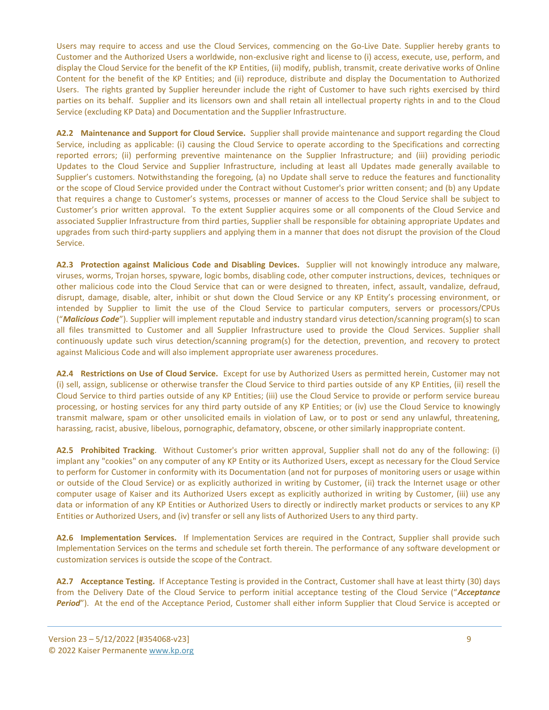Users may require to access and use the Cloud Services, commencing on the Go-Live Date. Supplier hereby grants to Customer and the Authorized Users a worldwide, non-exclusive right and license to (i) access, execute, use, perform, and display the Cloud Service for the benefit of the KP Entities, (ii) modify, publish, transmit, create derivative works of Online Content for the benefit of the KP Entities; and (ii) reproduce, distribute and display the Documentation to Authorized Users. The rights granted by Supplier hereunder include the right of Customer to have such rights exercised by third parties on its behalf. Supplier and its licensors own and shall retain all intellectual property rights in and to the Cloud Service (excluding KP Data) and Documentation and the Supplier Infrastructure.

**A2.2 Maintenance and Support for Cloud Service.** Supplier shall provide maintenance and support regarding the Cloud Service, including as applicable: (i) causing the Cloud Service to operate according to the Specifications and correcting reported errors; (ii) performing preventive maintenance on the Supplier Infrastructure; and (iii) providing periodic Updates to the Cloud Service and Supplier Infrastructure, including at least all Updates made generally available to Supplier's customers. Notwithstanding the foregoing, (a) no Update shall serve to reduce the features and functionality or the scope of Cloud Service provided under the Contract without Customer's prior written consent; and (b) any Update that requires a change to Customer's systems, processes or manner of access to the Cloud Service shall be subject to Customer's prior written approval. To the extent Supplier acquires some or all components of the Cloud Service and associated Supplier Infrastructure from third parties, Supplier shall be responsible for obtaining appropriate Updates and upgrades from such third-party suppliers and applying them in a manner that does not disrupt the provision of the Cloud Service.

**A2.3 Protection against Malicious Code and Disabling Devices.** Supplier will not knowingly introduce any malware, viruses, worms, Trojan horses, spyware, logic bombs, disabling code, other computer instructions, devices, techniques or other malicious code into the Cloud Service that can or were designed to threaten, infect, assault, vandalize, defraud, disrupt, damage, disable, alter, inhibit or shut down the Cloud Service or any KP Entity's processing environment, or intended by Supplier to limit the use of the Cloud Service to particular computers, servers or processors/CPUs ("*Malicious Code*"). Supplier will implement reputable and industry standard virus detection/scanning program(s) to scan all files transmitted to Customer and all Supplier Infrastructure used to provide the Cloud Services. Supplier shall continuously update such virus detection/scanning program(s) for the detection, prevention, and recovery to protect against Malicious Code and will also implement appropriate user awareness procedures.

**A2.4 Restrictions on Use of Cloud Service.** Except for use by Authorized Users as permitted herein, Customer may not (i) sell, assign, sublicense or otherwise transfer the Cloud Service to third parties outside of any KP Entities, (ii) resell the Cloud Service to third parties outside of any KP Entities; (iii) use the Cloud Service to provide or perform service bureau processing, or hosting services for any third party outside of any KP Entities; or (iv) use the Cloud Service to knowingly transmit malware, spam or other unsolicited emails in violation of Law, or to post or send any unlawful, threatening, harassing, racist, abusive, libelous, pornographic, defamatory, obscene, or other similarly inappropriate content.

**A2.5 Prohibited Tracking**.Without Customer's prior written approval, Supplier shall not do any of the following: (i) implant any "cookies" on any computer of any KP Entity or its Authorized Users, except as necessary for the Cloud Service to perform for Customer in conformity with its Documentation (and not for purposes of monitoring users or usage within or outside of the Cloud Service) or as explicitly authorized in writing by Customer, (ii) track the Internet usage or other computer usage of Kaiser and its Authorized Users except as explicitly authorized in writing by Customer, (iii) use any data or information of any KP Entities or Authorized Users to directly or indirectly market products or services to any KP Entities or Authorized Users, and (iv) transfer or sell any lists of Authorized Users to any third party.

**A2.6 Implementation Services.** If Implementation Services are required in the Contract, Supplier shall provide such Implementation Services on the terms and schedule set forth therein. The performance of any software development or customization services is outside the scope of the Contract.

**A2.7 Acceptance Testing.** If Acceptance Testing is provided in the Contract, Customer shall have at least thirty (30) days from the Delivery Date of the Cloud Service to perform initial acceptance testing of the Cloud Service ("*Acceptance Period*"). At the end of the Acceptance Period, Customer shall either inform Supplier that Cloud Service is accepted or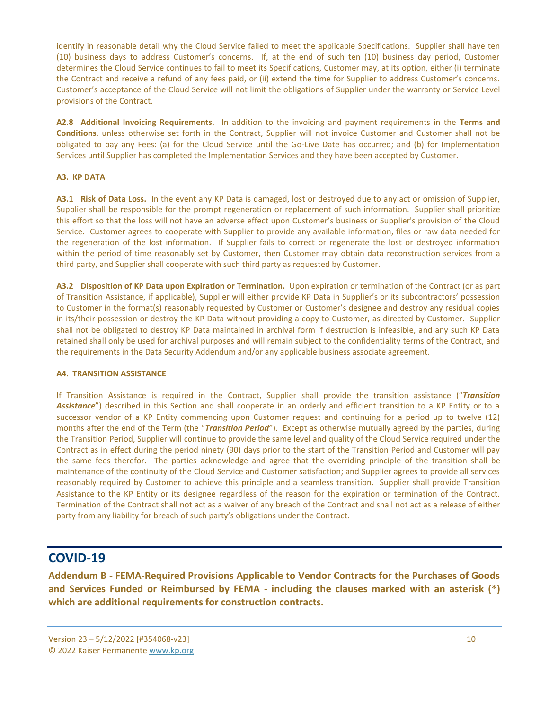identify in reasonable detail why the Cloud Service failed to meet the applicable Specifications. Supplier shall have ten (10) business days to address Customer's concerns. If, at the end of such ten (10) business day period, Customer determines the Cloud Service continues to fail to meet its Specifications, Customer may, at its option, either (i) terminate the Contract and receive a refund of any fees paid, or (ii) extend the time for Supplier to address Customer's concerns. Customer's acceptance of the Cloud Service will not limit the obligations of Supplier under the warranty or Service Level provisions of the Contract.

**A2.8 Additional Invoicing Requirements.** In addition to the invoicing and payment requirements in the **Terms and Conditions**, unless otherwise set forth in the Contract, Supplier will not invoice Customer and Customer shall not be obligated to pay any Fees: (a) for the Cloud Service until the Go-Live Date has occurred; and (b) for Implementation Services until Supplier has completed the Implementation Services and they have been accepted by Customer.

# **A3. KP DATA**

**A3.1 Risk of Data Loss.** In the event any KP Data is damaged, lost or destroyed due to any act or omission of Supplier, Supplier shall be responsible for the prompt regeneration or replacement of such information. Supplier shall prioritize this effort so that the loss will not have an adverse effect upon Customer's business or Supplier's provision of the Cloud Service. Customer agrees to cooperate with Supplier to provide any available information, files or raw data needed for the regeneration of the lost information. If Supplier fails to correct or regenerate the lost or destroyed information within the period of time reasonably set by Customer, then Customer may obtain data reconstruction services from a third party, and Supplier shall cooperate with such third party as requested by Customer.

**A3.2 Disposition of KP Data upon Expiration or Termination.** Upon expiration or termination of the Contract (or as part of Transition Assistance, if applicable), Supplier will either provide KP Data in Supplier's or its subcontractors' possession to Customer in the format(s) reasonably requested by Customer or Customer's designee and destroy any residual copies in its/their possession or destroy the KP Data without providing a copy to Customer, as directed by Customer. Supplier shall not be obligated to destroy KP Data maintained in archival form if destruction is infeasible, and any such KP Data retained shall only be used for archival purposes and will remain subject to the confidentiality terms of the Contract, and the requirements in the Data Security Addendum and/or any applicable business associate agreement.

#### **A4. TRANSITION ASSISTANCE**

If Transition Assistance is required in the Contract, Supplier shall provide the transition assistance ("*Transition Assistance*") described in this Section and shall cooperate in an orderly and efficient transition to a KP Entity or to a successor vendor of a KP Entity commencing upon Customer request and continuing for a period up to twelve (12) months after the end of the Term (the "*Transition Period*"). Except as otherwise mutually agreed by the parties, during the Transition Period, Supplier will continue to provide the same level and quality of the Cloud Service required under the Contract as in effect during the period ninety (90) days prior to the start of the Transition Period and Customer will pay the same fees therefor. The parties acknowledge and agree that the overriding principle of the transition shall be maintenance of the continuity of the Cloud Service and Customer satisfaction; and Supplier agrees to provide all services reasonably required by Customer to achieve this principle and a seamless transition. Supplier shall provide Transition Assistance to the KP Entity or its designee regardless of the reason for the expiration or termination of the Contract. Termination of the Contract shall not act as a waiver of any breach of the Contract and shall not act as a release of either party from any liability for breach of such party's obligations under the Contract.

# **COVID-19**

**Addendum B - FEMA-Required Provisions Applicable to Vendor Contracts for the Purchases of Goods and Services Funded or Reimbursed by FEMA - including the clauses marked with an asterisk (\*) which are additional requirements for construction contracts.**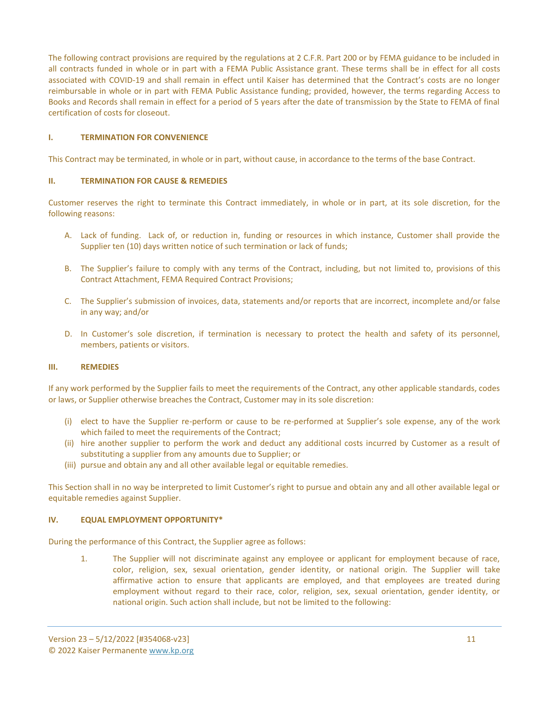The following contract provisions are required by the regulations at 2 C.F.R. Part 200 or by FEMA guidance to be included in all contracts funded in whole or in part with a FEMA Public Assistance grant. These terms shall be in effect for all costs associated with COVID-19 and shall remain in effect until Kaiser has determined that the Contract's costs are no longer reimbursable in whole or in part with FEMA Public Assistance funding; provided, however, the terms regarding Access to Books and Records shall remain in effect for a period of 5 years after the date of transmission by the State to FEMA of final certification of costs for closeout.

# **I. TERMINATION FOR CONVENIENCE**

This Contract may be terminated, in whole or in part, without cause, in accordance to the terms of the base Contract.

#### **II. TERMINATION FOR CAUSE & REMEDIES**

Customer reserves the right to terminate this Contract immediately, in whole or in part, at its sole discretion, for the following reasons:

- A. Lack of funding. Lack of, or reduction in, funding or resources in which instance, Customer shall provide the Supplier ten (10) days written notice of such termination or lack of funds;
- B. The Supplier's failure to comply with any terms of the Contract, including, but not limited to, provisions of this Contract Attachment, FEMA Required Contract Provisions;
- C. The Supplier's submission of invoices, data, statements and/or reports that are incorrect, incomplete and/or false in any way; and/or
- D. In Customer's sole discretion, if termination is necessary to protect the health and safety of its personnel, members, patients or visitors.

#### **III. REMEDIES**

If any work performed by the Supplier fails to meet the requirements of the Contract, any other applicable standards, codes or laws, or Supplier otherwise breaches the Contract, Customer may in its sole discretion:

- (i) elect to have the Supplier re-perform or cause to be re-performed at Supplier's sole expense, any of the work which failed to meet the requirements of the Contract;
- (ii) hire another supplier to perform the work and deduct any additional costs incurred by Customer as a result of substituting a supplier from any amounts due to Supplier; or
- (iii) pursue and obtain any and all other available legal or equitable remedies.

This Section shall in no way be interpreted to limit Customer's right to pursue and obtain any and all other available legal or equitable remedies against Supplier.

#### **IV. EQUAL EMPLOYMENT OPPORTUNITY\***

During the performance of this Contract, the Supplier agree as follows:

1. The Supplier will not discriminate against any employee or applicant for employment because of race, color, religion, sex, sexual orientation, gender identity, or national origin. The Supplier will take affirmative action to ensure that applicants are employed, and that employees are treated during employment without regard to their race, color, religion, sex, sexual orientation, gender identity, or national origin. Such action shall include, but not be limited to the following: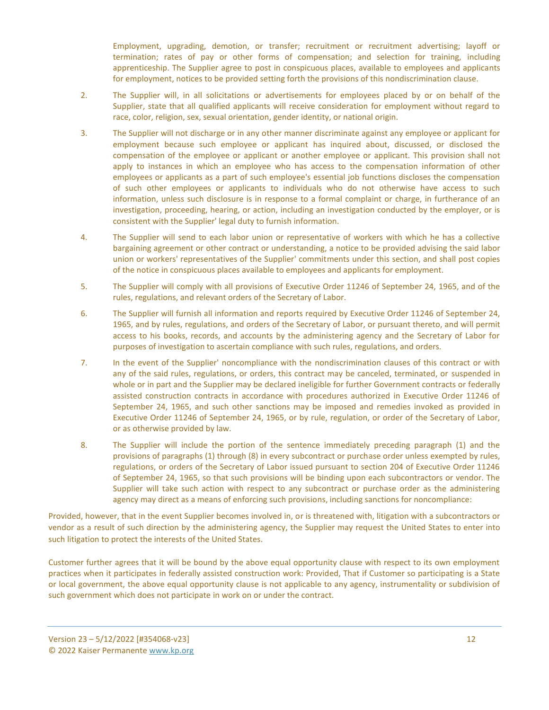Employment, upgrading, demotion, or transfer; recruitment or recruitment advertising; layoff or termination; rates of pay or other forms of compensation; and selection for training, including apprenticeship. The Supplier agree to post in conspicuous places, available to employees and applicants for employment, notices to be provided setting forth the provisions of this nondiscrimination clause.

- 2. The Supplier will, in all solicitations or advertisements for employees placed by or on behalf of the Supplier, state that all qualified applicants will receive consideration for employment without regard to race, color, religion, sex, sexual orientation, gender identity, or national origin.
- 3. The Supplier will not discharge or in any other manner discriminate against any employee or applicant for employment because such employee or applicant has inquired about, discussed, or disclosed the compensation of the employee or applicant or another employee or applicant. This provision shall not apply to instances in which an employee who has access to the compensation information of other employees or applicants as a part of such employee's essential job functions discloses the compensation of such other employees or applicants to individuals who do not otherwise have access to such information, unless such disclosure is in response to a formal complaint or charge, in furtherance of an investigation, proceeding, hearing, or action, including an investigation conducted by the employer, or is consistent with the Supplier' legal duty to furnish information.
- 4. The Supplier will send to each labor union or representative of workers with which he has a collective bargaining agreement or other contract or understanding, a notice to be provided advising the said labor union or workers' representatives of the Supplier' commitments under this section, and shall post copies of the notice in conspicuous places available to employees and applicants for employment.
- 5. The Supplier will comply with all provisions of Executive Order 11246 of September 24, 1965, and of the rules, regulations, and relevant orders of the Secretary of Labor.
- 6. The Supplier will furnish all information and reports required by Executive Order 11246 of September 24, 1965, and by rules, regulations, and orders of the Secretary of Labor, or pursuant thereto, and will permit access to his books, records, and accounts by the administering agency and the Secretary of Labor for purposes of investigation to ascertain compliance with such rules, regulations, and orders.
- 7. In the event of the Supplier' noncompliance with the nondiscrimination clauses of this contract or with any of the said rules, regulations, or orders, this contract may be canceled, terminated, or suspended in whole or in part and the Supplier may be declared ineligible for further Government contracts or federally assisted construction contracts in accordance with procedures authorized in Executive Order 11246 of September 24, 1965, and such other sanctions may be imposed and remedies invoked as provided in Executive Order 11246 of September 24, 1965, or by rule, regulation, or order of the Secretary of Labor, or as otherwise provided by law.
- 8. The Supplier will include the portion of the sentence immediately preceding paragraph (1) and the provisions of paragraphs (1) through (8) in every subcontract or purchase order unless exempted by rules, regulations, or orders of the Secretary of Labor issued pursuant to section 204 of Executive Order 11246 of September 24, 1965, so that such provisions will be binding upon each subcontractors or vendor. The Supplier will take such action with respect to any subcontract or purchase order as the administering agency may direct as a means of enforcing such provisions, including sanctions for noncompliance:

Provided, however, that in the event Supplier becomes involved in, or is threatened with, litigation with a subcontractors or vendor as a result of such direction by the administering agency, the Supplier may request the United States to enter into such litigation to protect the interests of the United States.

Customer further agrees that it will be bound by the above equal opportunity clause with respect to its own employment practices when it participates in federally assisted construction work: Provided, That if Customer so participating is a State or local government, the above equal opportunity clause is not applicable to any agency, instrumentality or subdivision of such government which does not participate in work on or under the contract.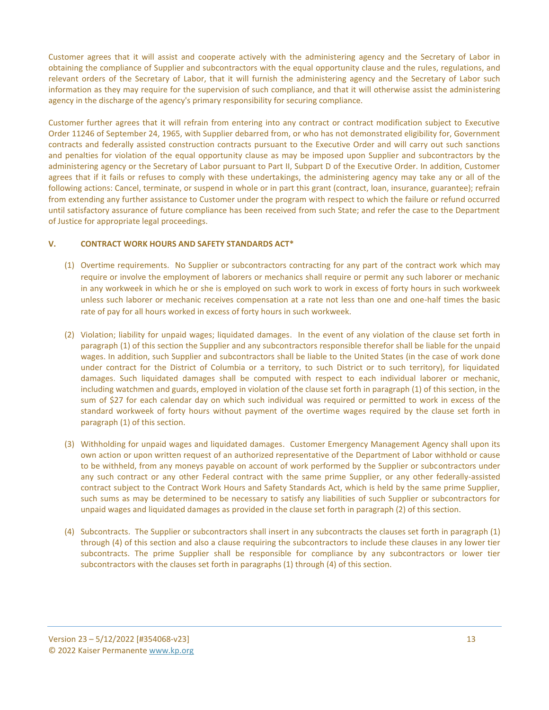Customer agrees that it will assist and cooperate actively with the administering agency and the Secretary of Labor in obtaining the compliance of Supplier and subcontractors with the equal opportunity clause and the rules, regulations, and relevant orders of the Secretary of Labor, that it will furnish the administering agency and the Secretary of Labor such information as they may require for the supervision of such compliance, and that it will otherwise assist the administering agency in the discharge of the agency's primary responsibility for securing compliance.

Customer further agrees that it will refrain from entering into any contract or contract modification subject to Executive Order 11246 of September 24, 1965, with Supplier debarred from, or who has not demonstrated eligibility for, Government contracts and federally assisted construction contracts pursuant to the Executive Order and will carry out such sanctions and penalties for violation of the equal opportunity clause as may be imposed upon Supplier and subcontractors by the administering agency or the Secretary of Labor pursuant to Part II, Subpart D of the Executive Order. In addition, Customer agrees that if it fails or refuses to comply with these undertakings, the administering agency may take any or all of the following actions: Cancel, terminate, or suspend in whole or in part this grant (contract, loan, insurance, guarantee); refrain from extending any further assistance to Customer under the program with respect to which the failure or refund occurred until satisfactory assurance of future compliance has been received from such State; and refer the case to the Department of Justice for appropriate legal proceedings.

# **V. CONTRACT WORK HOURS AND SAFETY STANDARDS ACT\***

- (1) Overtime requirements. No Supplier or subcontractors contracting for any part of the contract work which may require or involve the employment of laborers or mechanics shall require or permit any such laborer or mechanic in any workweek in which he or she is employed on such work to work in excess of forty hours in such workweek unless such laborer or mechanic receives compensation at a rate not less than one and one-half times the basic rate of pay for all hours worked in excess of forty hours in such workweek.
- (2) Violation; liability for unpaid wages; liquidated damages. In the event of any violation of the clause set forth in paragraph (1) of this section the Supplier and any subcontractors responsible therefor shall be liable for the unpaid wages. In addition, such Supplier and subcontractors shall be liable to the United States (in the case of work done under contract for the District of Columbia or a territory, to such District or to such territory), for liquidated damages. Such liquidated damages shall be computed with respect to each individual laborer or mechanic, including watchmen and guards, employed in violation of the clause set forth in paragraph (1) of this section, in the sum of \$27 for each calendar day on which such individual was required or permitted to work in excess of the standard workweek of forty hours without payment of the overtime wages required by the clause set forth in paragraph (1) of this section.
- (3) Withholding for unpaid wages and liquidated damages. Customer Emergency Management Agency shall upon its own action or upon written request of an authorized representative of the Department of Labor withhold or cause to be withheld, from any moneys payable on account of work performed by the Supplier or subcontractors under any such contract or any other Federal contract with the same prime Supplier, or any other federally-assisted contract subject to the Contract Work Hours and Safety Standards Act, which is held by the same prime Supplier, such sums as may be determined to be necessary to satisfy any liabilities of such Supplier or subcontractors for unpaid wages and liquidated damages as provided in the clause set forth in paragraph (2) of this section.
- (4) Subcontracts. The Supplier or subcontractors shall insert in any subcontracts the clauses set forth in paragraph (1) through (4) of this section and also a clause requiring the subcontractors to include these clauses in any lower tier subcontracts. The prime Supplier shall be responsible for compliance by any subcontractors or lower tier subcontractors with the clauses set forth in paragraphs (1) through (4) of this section.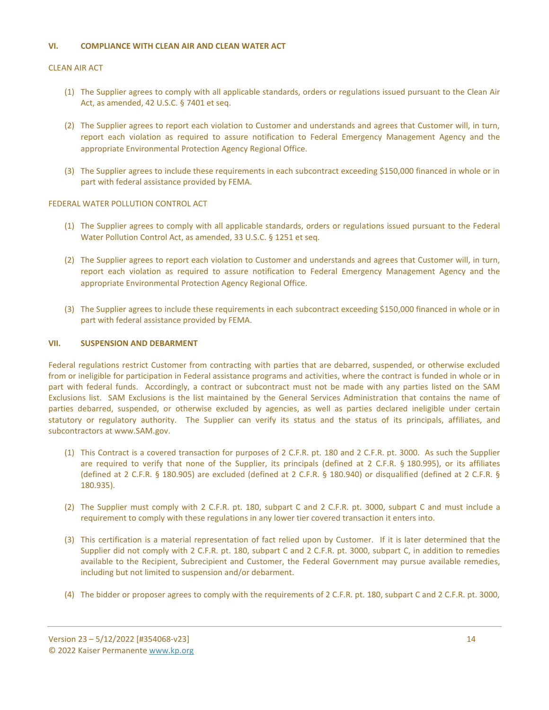#### **VI. COMPLIANCE WITH CLEAN AIR AND CLEAN WATER ACT**

#### CLEAN AIR ACT

- (1) The Supplier agrees to comply with all applicable standards, orders or regulations issued pursuant to the Clean Air Act, as amended, 42 U.S.C. § 7401 et seq.
- (2) The Supplier agrees to report each violation to Customer and understands and agrees that Customer will, in turn, report each violation as required to assure notification to Federal Emergency Management Agency and the appropriate Environmental Protection Agency Regional Office.
- (3) The Supplier agrees to include these requirements in each subcontract exceeding \$150,000 financed in whole or in part with federal assistance provided by FEMA.

# FEDERAL WATER POLLUTION CONTROL ACT

- (1) The Supplier agrees to comply with all applicable standards, orders or regulations issued pursuant to the Federal Water Pollution Control Act, as amended, 33 U.S.C. § 1251 et seq.
- (2) The Supplier agrees to report each violation to Customer and understands and agrees that Customer will, in turn, report each violation as required to assure notification to Federal Emergency Management Agency and the appropriate Environmental Protection Agency Regional Office.
- (3) The Supplier agrees to include these requirements in each subcontract exceeding \$150,000 financed in whole or in part with federal assistance provided by FEMA.

#### **VII. SUSPENSION AND DEBARMENT**

Federal regulations restrict Customer from contracting with parties that are debarred, suspended, or otherwise excluded from or ineligible for participation in Federal assistance programs and activities, where the contract is funded in whole or in part with federal funds. Accordingly, a contract or subcontract must not be made with any parties listed on the SAM Exclusions list. SAM Exclusions is the list maintained by the General Services Administration that contains the name of parties debarred, suspended, or otherwise excluded by agencies, as well as parties declared ineligible under certain statutory or regulatory authority. The Supplier can verify its status and the status of its principals, affiliates, and subcontractors at www.SAM.gov.

- (1) This Contract is a covered transaction for purposes of 2 C.F.R. pt. 180 and 2 C.F.R. pt. 3000. As such the Supplier are required to verify that none of the Supplier, its principals (defined at 2 C.F.R. § 180.995), or its affiliates (defined at 2 C.F.R. § 180.905) are excluded (defined at 2 C.F.R. § 180.940) or disqualified (defined at 2 C.F.R. § 180.935).
- (2) The Supplier must comply with 2 C.F.R. pt. 180, subpart C and 2 C.F.R. pt. 3000, subpart C and must include a requirement to comply with these regulations in any lower tier covered transaction it enters into.
- (3) This certification is a material representation of fact relied upon by Customer. If it is later determined that the Supplier did not comply with 2 C.F.R. pt. 180, subpart C and 2 C.F.R. pt. 3000, subpart C, in addition to remedies available to the Recipient, Subrecipient and Customer, the Federal Government may pursue available remedies, including but not limited to suspension and/or debarment.
- (4) The bidder or proposer agrees to comply with the requirements of 2 C.F.R. pt. 180, subpart C and 2 C.F.R. pt. 3000,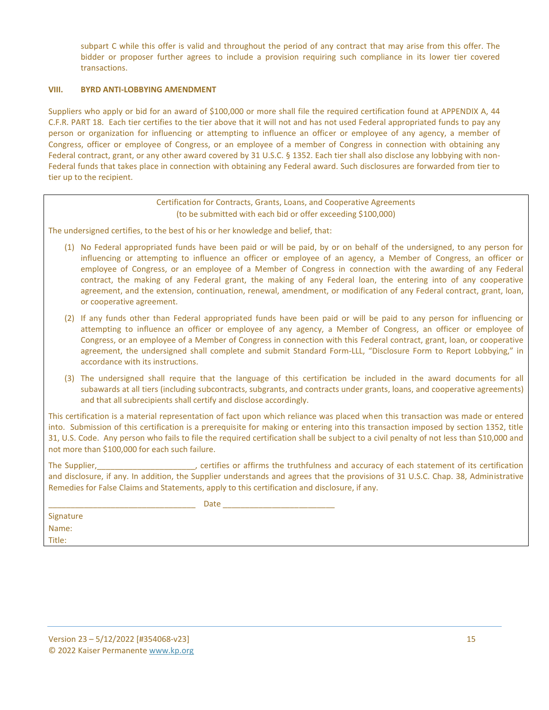subpart C while this offer is valid and throughout the period of any contract that may arise from this offer. The bidder or proposer further agrees to include a provision requiring such compliance in its lower tier covered transactions.

#### **VIII. BYRD ANTI-LOBBYING AMENDMENT**

Suppliers who apply or bid for an award of \$100,000 or more shall file the required certification found at APPENDIX A, 44 C.F.R. PART 18. Each tier certifies to the tier above that it will not and has not used Federal appropriated funds to pay any person or organization for influencing or attempting to influence an officer or employee of any agency, a member of Congress, officer or employee of Congress, or an employee of a member of Congress in connection with obtaining any Federal contract, grant, or any other award covered by 31 U.S.C. § 1352. Each tier shall also disclose any lobbying with non-Federal funds that takes place in connection with obtaining any Federal award. Such disclosures are forwarded from tier to tier up to the recipient.

> Certification for Contracts, Grants, Loans, and Cooperative Agreements (to be submitted with each bid or offer exceeding \$100,000)

The undersigned certifies, to the best of his or her knowledge and belief, that:

- (1) No Federal appropriated funds have been paid or will be paid, by or on behalf of the undersigned, to any person for influencing or attempting to influence an officer or employee of an agency, a Member of Congress, an officer or employee of Congress, or an employee of a Member of Congress in connection with the awarding of any Federal contract, the making of any Federal grant, the making of any Federal loan, the entering into of any cooperative agreement, and the extension, continuation, renewal, amendment, or modification of any Federal contract, grant, loan, or cooperative agreement.
- (2) If any funds other than Federal appropriated funds have been paid or will be paid to any person for influencing or attempting to influence an officer or employee of any agency, a Member of Congress, an officer or employee of Congress, or an employee of a Member of Congress in connection with this Federal contract, grant, loan, or cooperative agreement, the undersigned shall complete and submit Standard Form-LLL, "Disclosure Form to Report Lobbying," in accordance with its instructions.
- (3) The undersigned shall require that the language of this certification be included in the award documents for all subawards at all tiers (including subcontracts, subgrants, and contracts under grants, loans, and cooperative agreements) and that all subrecipients shall certify and disclose accordingly.

This certification is a material representation of fact upon which reliance was placed when this transaction was made or entered into. Submission of this certification is a prerequisite for making or entering into this transaction imposed by section 1352, title 31, U.S. Code. Any person who fails to file the required certification shall be subject to a civil penalty of not less than \$10,000 and not more than \$100,000 for each such failure.

The Supplier, The Supplier, the Supplier, certifies or affirms the truthfulness and accuracy of each statement of its certification and disclosure, if any. In addition, the Supplier understands and agrees that the provisions of 31 U.S.C. Chap. 38, Administrative Remedies for False Claims and Statements, apply to this certification and disclosure, if any.

|                     | - - |
|---------------------|-----|
|                     | .   |
| _________<br>______ |     |

Signature Name: Title: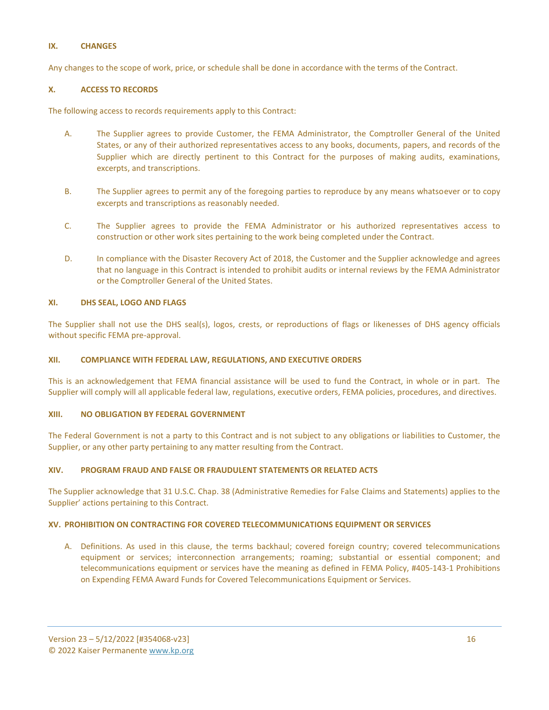#### **IX. CHANGES**

Any changes to the scope of work, price, or schedule shall be done in accordance with the terms of the Contract.

#### **X. ACCESS TO RECORDS**

The following access to records requirements apply to this Contract:

- A. The Supplier agrees to provide Customer, the FEMA Administrator, the Comptroller General of the United States, or any of their authorized representatives access to any books, documents, papers, and records of the Supplier which are directly pertinent to this Contract for the purposes of making audits, examinations, excerpts, and transcriptions.
- B. The Supplier agrees to permit any of the foregoing parties to reproduce by any means whatsoever or to copy excerpts and transcriptions as reasonably needed.
- C. The Supplier agrees to provide the FEMA Administrator or his authorized representatives access to construction or other work sites pertaining to the work being completed under the Contract.
- D. In compliance with the Disaster Recovery Act of 2018, the Customer and the Supplier acknowledge and agrees that no language in this Contract is intended to prohibit audits or internal reviews by the FEMA Administrator or the Comptroller General of the United States.

#### **XI. DHS SEAL, LOGO AND FLAGS**

The Supplier shall not use the DHS seal(s), logos, crests, or reproductions of flags or likenesses of DHS agency officials without specific FEMA pre-approval.

#### **XII. COMPLIANCE WITH FEDERAL LAW, REGULATIONS, AND EXECUTIVE ORDERS**

This is an acknowledgement that FEMA financial assistance will be used to fund the Contract, in whole or in part. The Supplier will comply will all applicable federal law, regulations, executive orders, FEMA policies, procedures, and directives.

#### **XIII. NO OBLIGATION BY FEDERAL GOVERNMENT**

The Federal Government is not a party to this Contract and is not subject to any obligations or liabilities to Customer, the Supplier, or any other party pertaining to any matter resulting from the Contract.

#### **XIV. PROGRAM FRAUD AND FALSE OR FRAUDULENT STATEMENTS OR RELATED ACTS**

The Supplier acknowledge that 31 U.S.C. Chap. 38 (Administrative Remedies for False Claims and Statements) applies to the Supplier' actions pertaining to this Contract.

#### **XV. PROHIBITION ON CONTRACTING FOR COVERED TELECOMMUNICATIONS EQUIPMENT OR SERVICES**

A. Definitions. As used in this clause, the terms backhaul; covered foreign country; covered telecommunications equipment or services; interconnection arrangements; roaming; substantial or essential component; and telecommunications equipment or services have the meaning as defined in FEMA Policy, #405-143-1 Prohibitions on Expending FEMA Award Funds for Covered Telecommunications Equipment or Services.